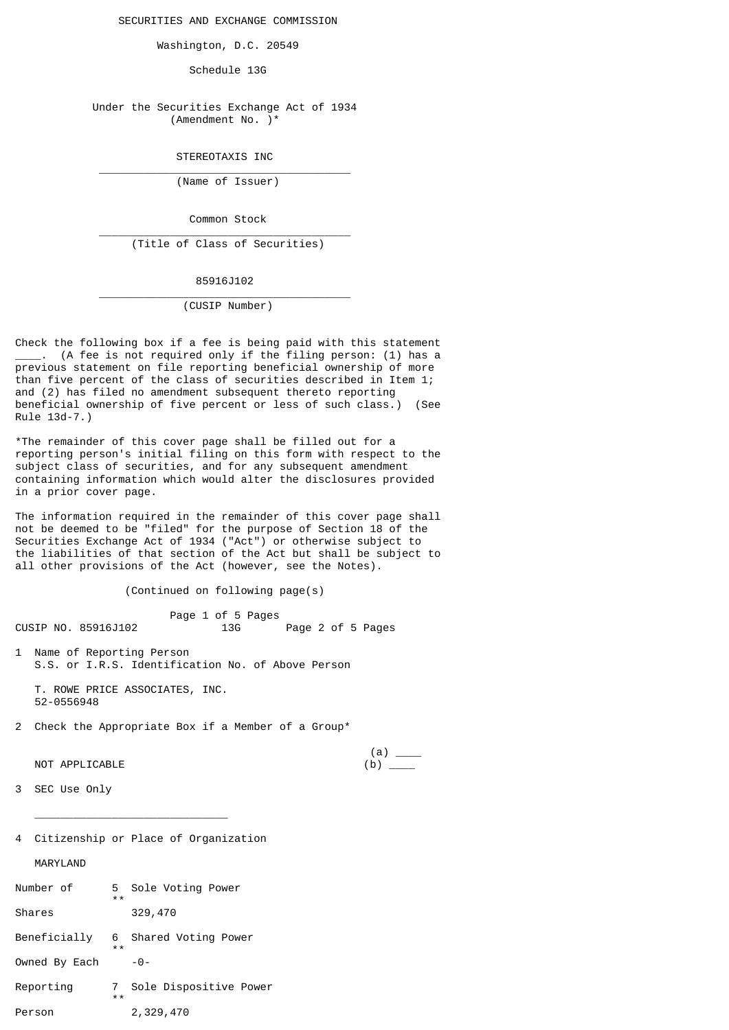SECURITIES AND EXCHANGE COMMISSION

Washington, D.C. 20549

Schedule 13G

 Under the Securities Exchange Act of 1934 (Amendment No. )\*

STEREOTAXIS INC

 $\overline{\phantom{a}}$  , and the contract of the contract of the contract of the contract of the contract of the contract of the contract of the contract of the contract of the contract of the contract of the contract of the contrac

 $\overline{\phantom{a}}$  , and the contract of the contract of the contract of the contract of the contract of the contract of the contract of the contract of the contract of the contract of the contract of the contract of the contrac

 $\overline{\phantom{a}}$  , and the contract of the contract of the contract of the contract of the contract of the contract of the contract of the contract of the contract of the contract of the contract of the contract of the contrac

(Name of Issuer)

Common Stock

(Title of Class of Securities)

85916J102

(CUSIP Number)

Check the following box if a fee is being paid with this statement (A fee is not required only if the filing person: (1) has a previous statement on file reporting beneficial ownership of more than five percent of the class of securities described in Item 1; and (2) has filed no amendment subsequent thereto reporting beneficial ownership of five percent or less of such class.) (See Rule 13d-7.)

\*The remainder of this cover page shall be filled out for a reporting person's initial filing on this form with respect to the subject class of securities, and for any subsequent amendment containing information which would alter the disclosures provided in a prior cover page.

The information required in the remainder of this cover page shall not be deemed to be "filed" for the purpose of Section 18 of the Securities Exchange Act of 1934 ("Act") or otherwise subject to the liabilities of that section of the Act but shall be subject to all other provisions of the Act (however, see the Notes).

(Continued on following page(s)

Page 1 of 5 Pages<br>13G Page 2 of 5 Pages CUSIP NO. 85916J102

1 Name of Reporting Person S.S. or I.R.S. Identification No. of Above Person

 T. ROWE PRICE ASSOCIATES, INC. 52-0556948

2 Check the Appropriate Box if a Member of a Group\*

 $(a)$   $\qquad \qquad$  $NOT$   $APPLLCABLE$   $(b)$   $(0)$ 

- 3 SEC Use Only
- 4 Citizenship or Place of Organization

 $\overline{\phantom{a}}$  ,  $\overline{\phantom{a}}$  ,  $\overline{\phantom{a}}$  ,  $\overline{\phantom{a}}$  ,  $\overline{\phantom{a}}$  ,  $\overline{\phantom{a}}$  ,  $\overline{\phantom{a}}$  ,  $\overline{\phantom{a}}$  ,  $\overline{\phantom{a}}$  ,  $\overline{\phantom{a}}$  ,  $\overline{\phantom{a}}$  ,  $\overline{\phantom{a}}$  ,  $\overline{\phantom{a}}$  ,  $\overline{\phantom{a}}$  ,  $\overline{\phantom{a}}$  ,  $\overline{\phantom{a}}$ 

MARYLAND

| Number of     | 5.<br>$* *$ | Sole Voting Power      |
|---------------|-------------|------------------------|
| Shares        |             | 329,470                |
| Beneficially  | 6<br>$* *$  | Shared Voting Power    |
| Owned By Each |             | - 0 -                  |
| Reporting     | 7<br>$* *$  | Sole Dispositive Power |
| Person        |             | 2,329,470              |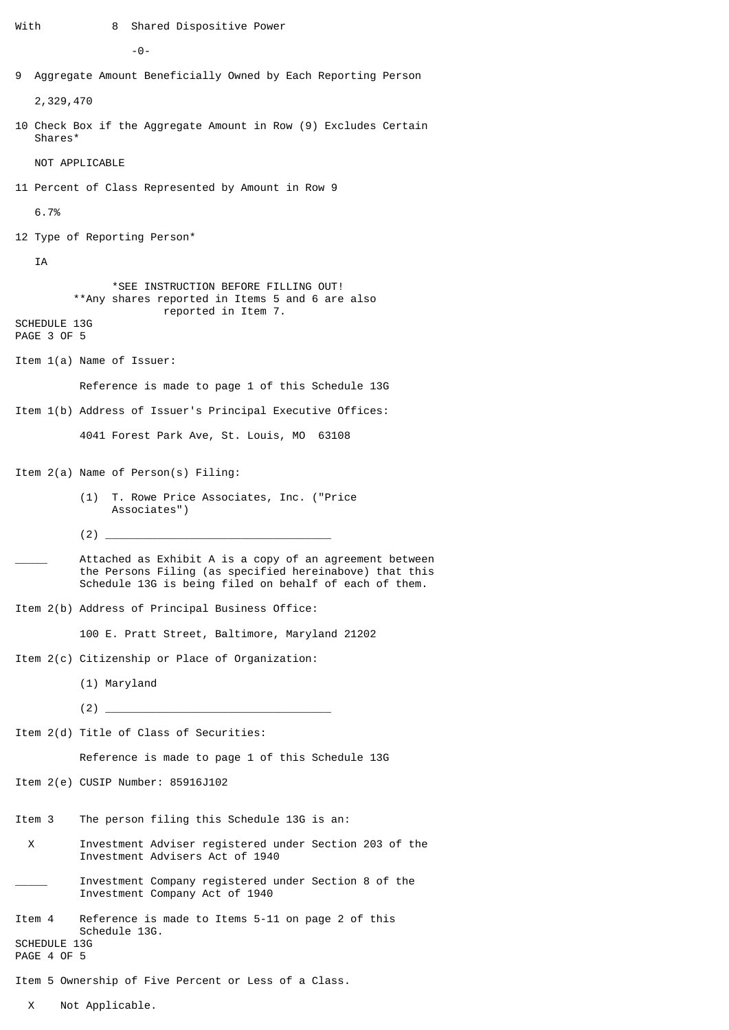```
With 8 Shared Dispositive Power
```
-0-

9 Aggregate Amount Beneficially Owned by Each Reporting Person

2,329,470

10 Check Box if the Aggregate Amount in Row (9) Excludes Certain Shares\*

NOT APPLICABLE

11 Percent of Class Represented by Amount in Row 9

6.7%

12 Type of Reporting Person\*

IA

 \*SEE INSTRUCTION BEFORE FILLING OUT! \*\*Any shares reported in Items 5 and 6 are also reported in Item 7.

SCHEDULE 13G PAGE 3 OF 5

Item 1(a) Name of Issuer:

Reference is made to page 1 of this Schedule 13G

Item 1(b) Address of Issuer's Principal Executive Offices:

4041 Forest Park Ave, St. Louis, MO 63108

Item 2(a) Name of Person(s) Filing:

- (1) T. Rowe Price Associates, Inc. ("Price Associates")
- (2) \_\_\_\_\_\_\_\_\_\_\_\_\_\_\_\_\_\_\_\_\_\_\_\_\_\_\_\_\_\_\_\_\_\_\_
- Attached as Exhibit A is a copy of an agreement between the Persons Filing (as specified hereinabove) that this Schedule 13G is being filed on behalf of each of them.
- Item 2(b) Address of Principal Business Office:

100 E. Pratt Street, Baltimore, Maryland 21202

- Item 2(c) Citizenship or Place of Organization:
	- (1) Maryland
- (2) \_\_\_\_\_\_\_\_\_\_\_\_\_\_\_\_\_\_\_\_\_\_\_\_\_\_\_\_\_\_\_\_\_\_\_

Item 2(d) Title of Class of Securities:

Reference is made to page 1 of this Schedule 13G

Item 2(e) CUSIP Number: 85916J102

- Item 3 The person filing this Schedule 13G is an:
- X Investment Adviser registered under Section 203 of the Investment Advisers Act of 1940
- Investment Company registered under Section 8 of the Investment Company Act of 1940
- Item 4 Reference is made to Items 5-11 on page 2 of this Schedule 13G. SCHEDULE 13G

PAGE 4 OF 5

- Item 5 Ownership of Five Percent or Less of a Class.
	- X Not Applicable.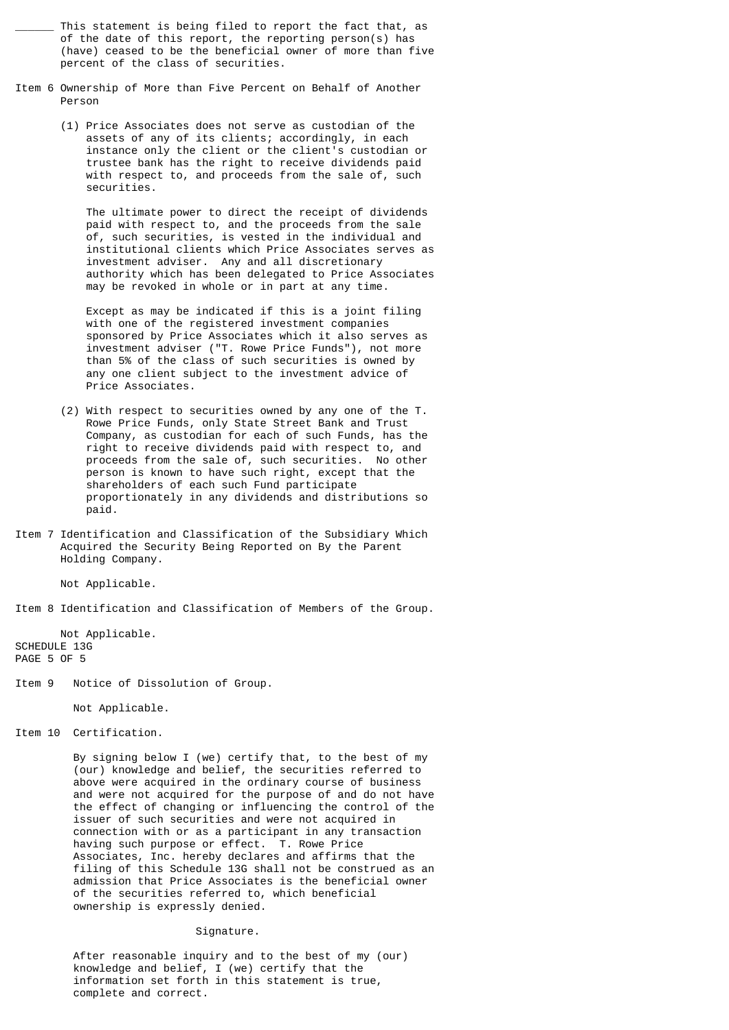This statement is being filed to report the fact that, as of the date of this report, the reporting person(s) has (have) ceased to be the beneficial owner of more than five percent of the class of securities.

- Item 6 Ownership of More than Five Percent on Behalf of Another Person
	- (1) Price Associates does not serve as custodian of the assets of any of its clients; accordingly, in each instance only the client or the client's custodian or trustee bank has the right to receive dividends paid with respect to, and proceeds from the sale of, such securities.

 The ultimate power to direct the receipt of dividends paid with respect to, and the proceeds from the sale of, such securities, is vested in the individual and institutional clients which Price Associates serves as investment adviser. Any and all discretionary authority which has been delegated to Price Associates may be revoked in whole or in part at any time.

 Except as may be indicated if this is a joint filing with one of the registered investment companies sponsored by Price Associates which it also serves as investment adviser ("T. Rowe Price Funds"), not more than 5% of the class of such securities is owned by any one client subject to the investment advice of Price Associates.

- (2) With respect to securities owned by any one of the T. Rowe Price Funds, only State Street Bank and Trust Company, as custodian for each of such Funds, has the right to receive dividends paid with respect to, and proceeds from the sale of, such securities. No other person is known to have such right, except that the shareholders of each such Fund participate proportionately in any dividends and distributions so paid.
- Item 7 Identification and Classification of the Subsidiary Which Acquired the Security Being Reported on By the Parent Holding Company.

Not Applicable.

Item 8 Identification and Classification of Members of the Group.

 Not Applicable. SCHEDULE 13G PAGE 5 OF 5

Item 9 Notice of Dissolution of Group.

Not Applicable.

Item 10 Certification.

 By signing below I (we) certify that, to the best of my (our) knowledge and belief, the securities referred to above were acquired in the ordinary course of business and were not acquired for the purpose of and do not have the effect of changing or influencing the control of the issuer of such securities and were not acquired in connection with or as a participant in any transaction having such purpose or effect. T. Rowe Price Associates, Inc. hereby declares and affirms that the filing of this Schedule 13G shall not be construed as an admission that Price Associates is the beneficial owner of the securities referred to, which beneficial ownership is expressly denied.

## Signature.

 After reasonable inquiry and to the best of my (our) knowledge and belief, I (we) certify that the information set forth in this statement is true, complete and correct.